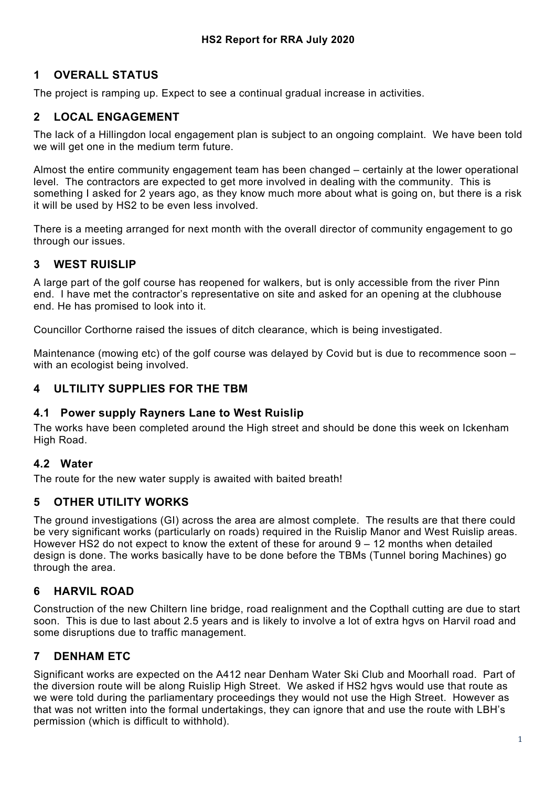# **1 OVERALL STATUS**

The project is ramping up. Expect to see a continual gradual increase in activities.

# **2 LOCAL ENGAGEMENT**

The lack of a Hillingdon local engagement plan is subject to an ongoing complaint. We have been told we will get one in the medium term future.

Almost the entire community engagement team has been changed – certainly at the lower operational level. The contractors are expected to get more involved in dealing with the community. This is something I asked for 2 years ago, as they know much more about what is going on, but there is a risk it will be used by HS2 to be even less involved.

There is a meeting arranged for next month with the overall director of community engagement to go through our issues.

# **3 WEST RUISLIP**

A large part of the golf course has reopened for walkers, but is only accessible from the river Pinn end. I have met the contractor's representative on site and asked for an opening at the clubhouse end. He has promised to look into it.

Councillor Corthorne raised the issues of ditch clearance, which is being investigated.

Maintenance (mowing etc) of the golf course was delayed by Covid but is due to recommence soon – with an ecologist being involved.

#### **4 ULTILITY SUPPLIES FOR THE TBM**

#### **4.1 Power supply Rayners Lane to West Ruislip**

The works have been completed around the High street and should be done this week on Ickenham High Road.

#### **4.2 Water**

The route for the new water supply is awaited with baited breath!

## **5 OTHER UTILITY WORKS**

The ground investigations (GI) across the area are almost complete. The results are that there could be very significant works (particularly on roads) required in the Ruislip Manor and West Ruislip areas. However HS2 do not expect to know the extent of these for around 9 – 12 months when detailed design is done. The works basically have to be done before the TBMs (Tunnel boring Machines) go through the area.

## **6 HARVIL ROAD**

Construction of the new Chiltern line bridge, road realignment and the Copthall cutting are due to start soon. This is due to last about 2.5 years and is likely to involve a lot of extra hgvs on Harvil road and some disruptions due to traffic management.

## **7 DENHAM ETC**

Significant works are expected on the A412 near Denham Water Ski Club and Moorhall road. Part of the diversion route will be along Ruislip High Street. We asked if HS2 hgvs would use that route as we were told during the parliamentary proceedings they would not use the High Street. However as that was not written into the formal undertakings, they can ignore that and use the route with LBH's permission (which is difficult to withhold).